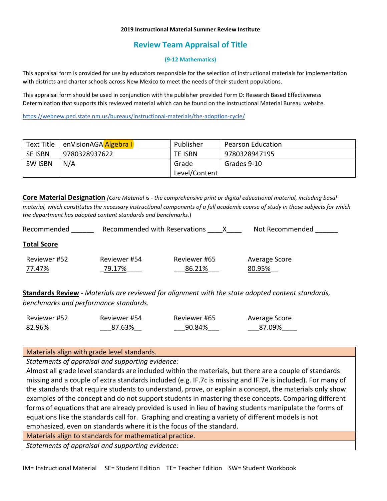#### **2019 Instructional Material Summer Review Institute**

## **Review Team Appraisal of Title**

### **(9-12 Mathematics)**

This appraisal form is provided for use by educators responsible for the selection of instructional materials for implementation with districts and charter schools across New Mexico to meet the needs of their student populations.

This appraisal form should be used in conjunction with the publisher provided Form D: Research Based Effectiveness Determination that supports this reviewed material which can be found on the Instructional Material Bureau website.

<https://webnew.ped.state.nm.us/bureaus/instructional-materials/the-adoption-cycle/>

| Text Title     | enVisionAGA Algebra I | Publisher     | <b>Pearson Education</b> |
|----------------|-----------------------|---------------|--------------------------|
| <b>SE ISBN</b> | 9780328937622         | TE ISBN       | 9780328947195            |
| <b>SW ISBN</b> | N/A                   | Grade         | Grades 9-10              |
|                |                       | Level/Content |                          |

**Core Material Designation** *(Core Material is - the comprehensive print or digital educational material, including basal material, which constitutes the necessary instructional components of a full academic course of study in those subjects for which the department has adopted content standards and benchmarks.*)

| Recommended            | Recommended with Reservations |                        | Not Recommended         |
|------------------------|-------------------------------|------------------------|-------------------------|
| <b>Total Score</b>     |                               |                        |                         |
| Reviewer #52<br>77.47% | Reviewer #54<br>79.17%        | Reviewer #65<br>86.21% | Average Score<br>80.95% |

**Standards Review** - *Materials are reviewed for alignment with the state adopted content standards, benchmarks and performance standards.*

| Reviewer #52 | Reviewer #54 | Reviewer #65 | Average Score |
|--------------|--------------|--------------|---------------|
| 82.96%       | 87.63%       | 90.84%       | 87.09%        |

Materials align with grade level standards.

*Statements of appraisal and supporting evidence:*

Almost all grade level standards are included within the materials, but there are a couple of standards missing and a couple of extra standards included (e.g. IF.7c is missing and IF.7e is included). For many of the standards that require students to understand, prove, or explain a concept, the materials only show examples of the concept and do not support students in mastering these concepts. Comparing different forms of equations that are already provided is used in lieu of having students manipulate the forms of equations like the standards call for. Graphing and creating a variety of different models is not emphasized, even on standards where it is the focus of the standard.

Materials align to standards for mathematical practice.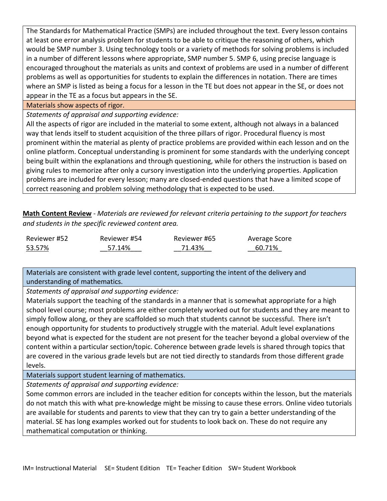The Standards for Mathematical Practice (SMPs) are included throughout the text. Every lesson contains at least one error analysis problem for students to be able to critique the reasoning of others, which would be SMP number 3. Using technology tools or a variety of methods for solving problems is included in a number of different lessons where appropriate, SMP number 5. SMP 6, using precise language is encouraged throughout the materials as units and context of problems are used in a number of different problems as well as opportunities for students to explain the differences in notation. There are times where an SMP is listed as being a focus for a lesson in the TE but does not appear in the SE, or does not appear in the TE as a focus but appears in the SE.

## Materials show aspects of rigor.

*Statements of appraisal and supporting evidence:*

All the aspects of rigor are included in the material to some extent, although not always in a balanced way that lends itself to student acquisition of the three pillars of rigor. Procedural fluency is most prominent within the material as plenty of practice problems are provided within each lesson and on the online platform. Conceptual understanding is prominent for some standards with the underlying concept being built within the explanations and through questioning, while for others the instruction is based on giving rules to memorize after only a cursory investigation into the underlying properties. Application problems are included for every lesson; many are closed-ended questions that have a limited scope of correct reasoning and problem solving methodology that is expected to be used.

**Math Content Review** - *Materials are reviewed for relevant criteria pertaining to the support for teachers and students in the specific reviewed content area.*

| Reviewer #52 | Reviewer #54 | Reviewer #65 | Average Score |
|--------------|--------------|--------------|---------------|
| 53.57%       | 57.14%       | 71.43%       | 60.71%        |

Materials are consistent with grade level content, supporting the intent of the delivery and understanding of mathematics.

*Statements of appraisal and supporting evidence:*

Materials support the teaching of the standards in a manner that is somewhat appropriate for a high school level course; most problems are either completely worked out for students and they are meant to simply follow along, or they are scaffolded so much that students cannot be successful. There isn't enough opportunity for students to productively struggle with the material. Adult level explanations beyond what is expected for the student are not present for the teacher beyond a global overview of the content within a particular section/topic. Coherence between grade levels is shared through topics that are covered in the various grade levels but are not tied directly to standards from those different grade levels.

Materials support student learning of mathematics.

*Statements of appraisal and supporting evidence:*

Some common errors are included in the teacher edition for concepts within the lesson, but the materials do not match this with what pre-knowledge might be missing to cause these errors. Online video tutorials are available for students and parents to view that they can try to gain a better understanding of the material. SE has long examples worked out for students to look back on. These do not require any mathematical computation or thinking.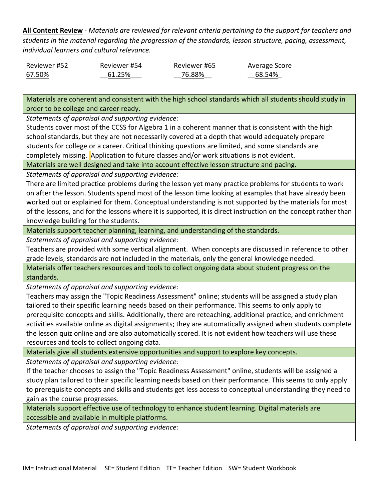**All Content Review** - *Materials are reviewed for relevant criteria pertaining to the support for teachers and students in the material regarding the progression of the standards, lesson structure, pacing, assessment, individual learners and cultural relevance.*

| Reviewer #52 | Reviewer #54 | Reviewer #65 | Average Score |
|--------------|--------------|--------------|---------------|
| 67.50%       | 61.25%       | 76.88%       | 68.54%        |

Materials are coherent and consistent with the high school standards which all students should study in order to be college and career ready.

*Statements of appraisal and supporting evidence:*

Students cover most of the CCSS for Algebra 1 in a coherent manner that is consistent with the high school standards, but they are not necessarily covered at a depth that would adequately prepare students for college or a career. Critical thinking questions are limited, and some standards are completely missing. Application to future classes and/or work situations is not evident.

Materials are well designed and take into account effective lesson structure and pacing.

*Statements of appraisal and supporting evidence:*

There are limited practice problems during the lesson yet many practice problems for students to work on after the lesson. Students spend most of the lesson time looking at examples that have already been worked out or explained for them. Conceptual understanding is not supported by the materials for most of the lessons, and for the lessons where it is supported, it is direct instruction on the concept rather than knowledge building for the students.

Materials support teacher planning, learning, and understanding of the standards.

*Statements of appraisal and supporting evidence:*

Teachers are provided with some vertical alignment. When concepts are discussed in reference to other grade levels, standards are not included in the materials, only the general knowledge needed.

Materials offer teachers resources and tools to collect ongoing data about student progress on the standards.

*Statements of appraisal and supporting evidence:*

Teachers may assign the "Topic Readiness Assessment" online; students will be assigned a study plan tailored to their specific learning needs based on their performance. This seems to only apply to prerequisite concepts and skills. Additionally, there are reteaching, additional practice, and enrichment activities available online as digital assignments; they are automatically assigned when students complete the lesson quiz online and are also automatically scored. It is not evident how teachers will use these resources and tools to collect ongoing data.

Materials give all students extensive opportunities and support to explore key concepts.

*Statements of appraisal and supporting evidence:*

If the teacher chooses to assign the "Topic Readiness Assessment" online, students will be assigned a study plan tailored to their specific learning needs based on their performance. This seems to only apply to prerequisite concepts and skills and students get less access to conceptual understanding they need to gain as the course progresses.

Materials support effective use of technology to enhance student learning. Digital materials are accessible and available in multiple platforms.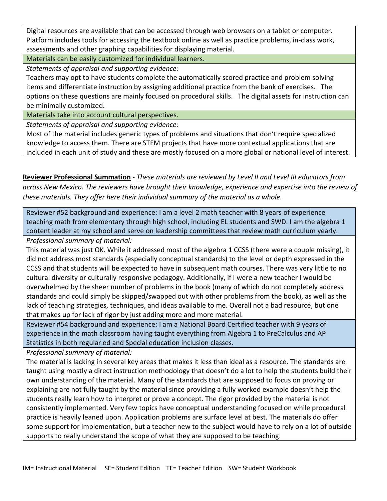Digital resources are available that can be accessed through web browsers on a tablet or computer. Platform includes tools for accessing the textbook online as well as practice problems, in-class work, assessments and other graphing capabilities for displaying material.

Materials can be easily customized for individual learners.

*Statements of appraisal and supporting evidence:*

Teachers may opt to have students complete the automatically scored practice and problem solving items and differentiate instruction by assigning additional practice from the bank of exercises. The options on these questions are mainly focused on procedural skills. The digital assets for instruction can be minimally customized.

Materials take into account cultural perspectives.

*Statements of appraisal and supporting evidence:*

Most of the material includes generic types of problems and situations that don't require specialized knowledge to access them. There are STEM projects that have more contextual applications that are included in each unit of study and these are mostly focused on a more global or national level of interest.

**Reviewer Professional Summation** - *These materials are reviewed by Level II and Level III educators from across New Mexico. The reviewers have brought their knowledge, experience and expertise into the review of these materials. They offer here their individual summary of the material as a whole.* 

Reviewer #52 background and experience: I am a level 2 math teacher with 8 years of experience teaching math from elementary through high school, including EL students and SWD. I am the algebra 1 content leader at my school and serve on leadership committees that review math curriculum yearly.

*Professional summary of material:*

This material was just OK. While it addressed most of the algebra 1 CCSS (there were a couple missing), it did not address most standards (especially conceptual standards) to the level or depth expressed in the CCSS and that students will be expected to have in subsequent math courses. There was very little to no cultural diversity or culturally responsive pedagogy. Additionally, if I were a new teacher I would be overwhelmed by the sheer number of problems in the book (many of which do not completely address standards and could simply be skipped/swapped out with other problems from the book), as well as the lack of teaching strategies, techniques, and ideas available to me. Overall not a bad resource, but one that makes up for lack of rigor by just adding more and more material.

Reviewer #54 background and experience: I am a National Board Certified teacher with 9 years of experience in the math classroom having taught everything from Algebra 1 to PreCalculus and AP Statistics in both regular ed and Special education inclusion classes.

*Professional summary of material:*

The material is lacking in several key areas that makes it less than ideal as a resource. The standards are taught using mostly a direct instruction methodology that doesn't do a lot to help the students build their own understanding of the material. Many of the standards that are supposed to focus on proving or explaining are not fully taught by the material since providing a fully worked example doesn't help the students really learn how to interpret or prove a concept. The rigor provided by the material is not consistently implemented. Very few topics have conceptual understanding focused on while procedural practice is heavily leaned upon. Application problems are surface level at best. The materials do offer some support for implementation, but a teacher new to the subject would have to rely on a lot of outside supports to really understand the scope of what they are supposed to be teaching.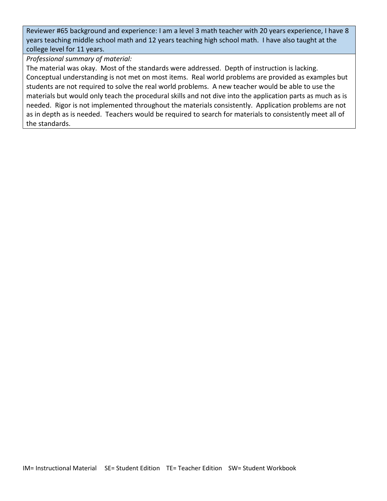Reviewer #65 background and experience: I am a level 3 math teacher with 20 years experience, I have 8 years teaching middle school math and 12 years teaching high school math. I have also taught at the college level for 11 years.

*Professional summary of material:*

The material was okay. Most of the standards were addressed. Depth of instruction is lacking. Conceptual understanding is not met on most items. Real world problems are provided as examples but students are not required to solve the real world problems. A new teacher would be able to use the materials but would only teach the procedural skills and not dive into the application parts as much as is needed. Rigor is not implemented throughout the materials consistently. Application problems are not as in depth as is needed. Teachers would be required to search for materials to consistently meet all of the standards.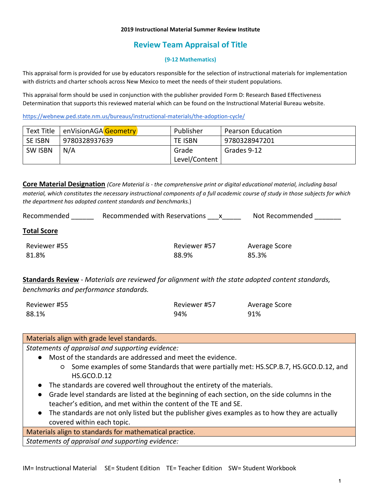#### **2019 Instructional Material Summer Review Institute**

# **Review Team Appraisal of Title**

### **(9-12 Mathematics)**

This appraisal form is provided for use by educators responsible for the selection of instructional materials for implementation with districts and charter schools across New Mexico to meet the needs of their student populations.

This appraisal form should be used in conjunction with the publisher provided Form D: Research Based Effectiveness Determination that supports this reviewed material which can be found on the Instructional Material Bureau website.

<https://webnew.ped.state.nm.us/bureaus/instructional-materials/the-adoption-cycle/>

| Text Title     | enVisionAGA Geometry | Publisher      | <b>Pearson Education</b> |
|----------------|----------------------|----------------|--------------------------|
| <b>SE ISBN</b> | 9780328937639        | <b>TE ISBN</b> | 9780328947201            |
| <b>SW ISBN</b> | N/A                  | Grade          | Grades 9-12              |
|                |                      | Level/Content  |                          |

**Core Material Designation** *(Core Material is - the comprehensive print or digital educational material, including basal material, which constitutes the necessary instructional components of a full academic course of study in those subjects for which the department has adopted content standards and benchmarks.*)

| Recommended        | Recommended with Reservations | Not Recommended |
|--------------------|-------------------------------|-----------------|
| <b>Total Score</b> |                               |                 |
| Reviewer #55       | Reviewer #57                  | Average Score   |

88.9%

85.3%

**Standards Review** - *Materials are reviewed for alignment with the state adopted content standards, benchmarks and performance standards.*

| Reviewer #55 | Reviewer #57 | Average Score |
|--------------|--------------|---------------|
| 88.1%        | 94%          | 91%           |

## Materials align with grade level standards.

81.8%

*Statements of appraisal and supporting evidence:*

- Most of the standards are addressed and meet the evidence.
	- Some examples of some Standards that were partially met: HS.SCP.B.7, HS.GCO.D.12, and HS.GCO.D.12
- The standards are covered well throughout the entirety of the materials.
- Grade level standards are listed at the beginning of each section, on the side columns in the teacher's edition, and met within the content of the TE and SE.
- The standards are not only listed but the publisher gives examples as to how they are actually covered within each topic.

Materials align to standards for mathematical practice.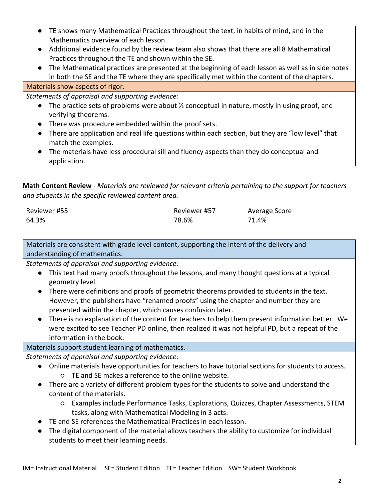- TE shows many Mathematical Practices throughout the text, in habits of mind, and in the Mathematics overview of each lesson.
- Additional evidence found by the review team also shows that there are all 8 Mathematical Practices throughout the TE and shown within the SE.
- The Mathematical practices are presented at the beginning of each lesson as well as in side notes in both the SE and the TE where they are specifically met within the content of the chapters.

## Materials show aspects of rigor.

*Statements of appraisal and supporting evidence:*

- The practice sets of problems were about  $\frac{1}{2}$  conceptual in nature, mostly in using proof, and verifying theorems.
- There was procedure embedded within the proof sets.
- There are application and real life questions within each section, but they are "low level" that match the examples.
- The materials have less procedural sill and fluency aspects than they do conceptual and application.

**Math Content Review** - *Materials are reviewed for relevant criteria pertaining to the support for teachers and students in the specific reviewed content area.*

| Reviewer #55 | Reviewer #57 | Average Score |
|--------------|--------------|---------------|
| 64.3%        | 78.6%        | 71.4%         |

Materials are consistent with grade level content, supporting the intent of the delivery and understanding of mathematics.

*Statements of appraisal and supporting evidence:*

- This text had many proofs throughout the lessons, and many thought questions at a typical geometry level.
- There were definitions and proofs of geometric theorems provided to students in the text. However, the publishers have "renamed proofs" using the chapter and number they are presented within the chapter, which causes confusion later.
- There is no explanation of the content for teachers to help them present information better. We were excited to see Teacher PD online, then realized it was not helpful PD, but a repeat of the information in the book.

## Materials support student learning of mathematics.

- Online materials have opportunities for teachers to have tutorial sections for students to access. ○ TE and SE makes a reference to the online website.
- There are a variety of different problem types for the students to solve and understand the content of the materials.
	- Examples include Performance Tasks, Explorations, Quizzes, Chapter Assessments, STEM tasks, along with Mathematical Modeling in 3 acts.
- TE and SE references the Mathematical Practices in each lesson.
- The digital component of the material allows teachers the ability to customize for individual students to meet their learning needs.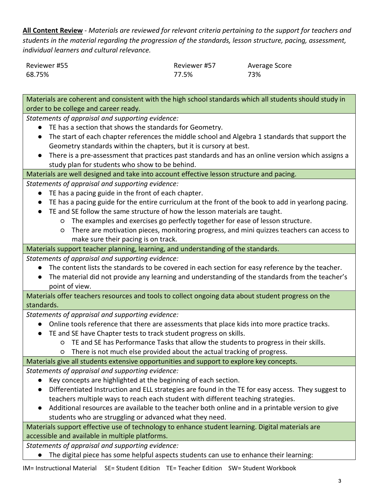**All Content Review** - *Materials are reviewed for relevant criteria pertaining to the support for teachers and students in the material regarding the progression of the standards, lesson structure, pacing, assessment, individual learners and cultural relevance.*

| Reviewer #55 | Reviewer #57 | Average Score |
|--------------|--------------|---------------|
| 68.75%       | 77.5%        | 73%           |

Materials are coherent and consistent with the high school standards which all students should study in order to be college and career ready.

*Statements of appraisal and supporting evidence:*

- TE has a section that shows the standards for Geometry.
- The start of each chapter references the middle school and Algebra 1 standards that support the Geometry standards within the chapters, but it is cursory at best.
- There is a pre-assessment that practices past standards and has an online version which assigns a study plan for students who show to be behind.

Materials are well designed and take into account effective lesson structure and pacing.

*Statements of appraisal and supporting evidence:*

- TE has a pacing guide in the front of each chapter.
- TE has a pacing guide for the entire curriculum at the front of the book to add in yearlong pacing.
- TE and SE follow the same structure of how the lesson materials are taught.
	- The examples and exercises go perfectly together for ease of lesson structure.
	- There are motivation pieces, monitoring progress, and mini quizzes teachers can access to make sure their pacing is on track.

Materials support teacher planning, learning, and understanding of the standards.

*Statements of appraisal and supporting evidence:*

- The content lists the standards to be covered in each section for easy reference by the teacher.
- The material did not provide any learning and understanding of the standards from the teacher's point of view.

Materials offer teachers resources and tools to collect ongoing data about student progress on the standards.

*Statements of appraisal and supporting evidence:*

- Online tools reference that there are assessments that place kids into more practice tracks.
- TE and SE have Chapter tests to track student progress on skills.
	- TE and SE has Performance Tasks that allow the students to progress in their skills.
	- There is not much else provided about the actual tracking of progress.

Materials give all students extensive opportunities and support to explore key concepts.

*Statements of appraisal and supporting evidence:*

- Key concepts are highlighted at the beginning of each section.
- Differentiated Instruction and ELL strategies are found in the TE for easy access. They suggest to teachers multiple ways to reach each student with different teaching strategies.
- Additional resources are available to the teacher both online and in a printable version to give students who are struggling or advanced what they need.

Materials support effective use of technology to enhance student learning. Digital materials are accessible and available in multiple platforms.

*Statements of appraisal and supporting evidence:*

● The digital piece has some helpful aspects students can use to enhance their learning: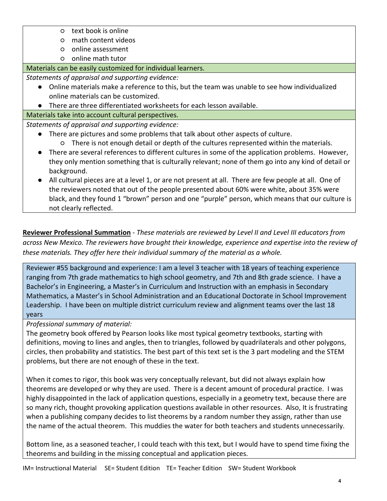- text book is online
- math content videos
- online assessment
- online math tutor

# Materials can be easily customized for individual learners.

*Statements of appraisal and supporting evidence:*

- Online materials make a reference to this, but the team was unable to see how individualized online materials can be customized.
- There are three differentiated worksheets for each lesson available.

Materials take into account cultural perspectives.

*Statements of appraisal and supporting evidence:*

- There are pictures and some problems that talk about other aspects of culture.
	- There is not enough detail or depth of the cultures represented within the materials.
- There are several references to different cultures in some of the application problems. However, they only mention something that is culturally relevant; none of them go into any kind of detail or background.
- All cultural pieces are at a level 1, or are not present at all. There are few people at all. One of the reviewers noted that out of the people presented about 60% were white, about 35% were black, and they found 1 "brown" person and one "purple" person, which means that our culture is not clearly reflected.

**Reviewer Professional Summation** - *These materials are reviewed by Level II and Level III educators from across New Mexico. The reviewers have brought their knowledge, experience and expertise into the review of these materials. They offer here their individual summary of the material as a whole.* 

Reviewer #55 background and experience: I am a level 3 teacher with 18 years of teaching experience ranging from 7th grade mathematics to high school geometry, and 7th and 8th grade science. I have a Bachelor's in Engineering, a Master's in Curriculum and Instruction with an emphasis in Secondary Mathematics, a Master's in School Administration and an Educational Doctorate in School Improvement Leadership. I have been on multiple district curriculum review and alignment teams over the last 18 years

*Professional summary of material:*

The geometry book offered by Pearson looks like most typical geometry textbooks, starting with definitions, moving to lines and angles, then to triangles, followed by quadrilaterals and other polygons, circles, then probability and statistics. The best part of this text set is the 3 part modeling and the STEM problems, but there are not enough of these in the text.

When it comes to rigor, this book was very conceptually relevant, but did not always explain how theorems are developed or why they are used. There is a decent amount of procedural practice. I was highly disappointed in the lack of application questions, especially in a geometry text, because there are so many rich, thought provoking application questions available in other resources. Also, It is frustrating when a publishing company decides to list theorems by a random number they assign, rather than use the name of the actual theorem. This muddies the water for both teachers and students unnecessarily.

Bottom line, as a seasoned teacher, I could teach with this text, but I would have to spend time fixing the theorems and building in the missing conceptual and application pieces.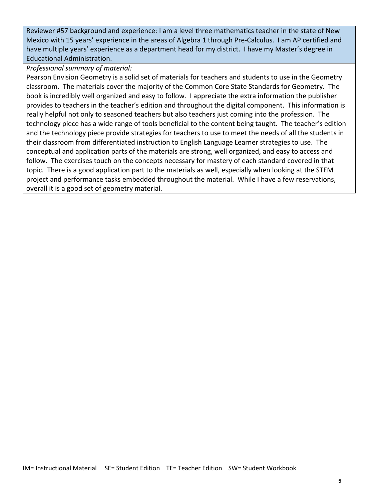Reviewer #57 background and experience: I am a level three mathematics teacher in the state of New Mexico with 15 years' experience in the areas of Algebra 1 through Pre-Calculus. I am AP certified and have multiple years' experience as a department head for my district. I have my Master's degree in Educational Administration.

## *Professional summary of material:*

Pearson Envision Geometry is a solid set of materials for teachers and students to use in the Geometry classroom. The materials cover the majority of the Common Core State Standards for Geometry. The book is incredibly well organized and easy to follow. I appreciate the extra information the publisher provides to teachers in the teacher's edition and throughout the digital component. This information is really helpful not only to seasoned teachers but also teachers just coming into the profession. The technology piece has a wide range of tools beneficial to the content being taught. The teacher's edition and the technology piece provide strategies for teachers to use to meet the needs of all the students in their classroom from differentiated instruction to English Language Learner strategies to use. The conceptual and application parts of the materials are strong, well organized, and easy to access and follow. The exercises touch on the concepts necessary for mastery of each standard covered in that topic. There is a good application part to the materials as well, especially when looking at the STEM project and performance tasks embedded throughout the material. While I have a few reservations, overall it is a good set of geometry material.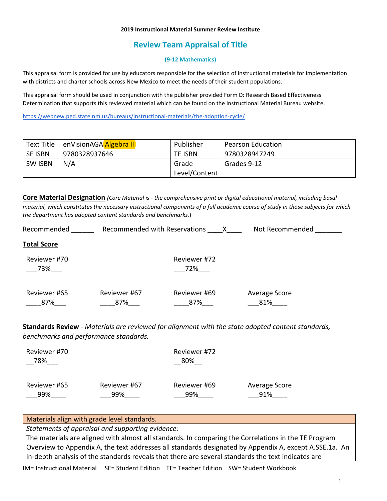#### **2019 Instructional Material Summer Review Institute**

## **Review Team Appraisal of Title**

#### **(9-12 Mathematics)**

This appraisal form is provided for use by educators responsible for the selection of instructional materials for implementation with districts and charter schools across New Mexico to meet the needs of their student populations.

This appraisal form should be used in conjunction with the publisher provided Form D: Research Based Effectiveness Determination that supports this reviewed material which can be found on the Instructional Material Bureau website.

<https://webnew.ped.state.nm.us/bureaus/instructional-materials/the-adoption-cycle/>

| Text Title     | enVisionAGA Algebra II | Publisher     | <b>Pearson Education</b> |
|----------------|------------------------|---------------|--------------------------|
| SE ISBN        | 9780328937646          | TE ISBN       | 9780328947249            |
| <b>SW ISBN</b> | N/A                    | Grade         | Grades 9-12              |
|                |                        | Level/Content |                          |

**Core Material Designation** *(Core Material is - the comprehensive print or digital educational material, including basal material, which constitutes the necessary instructional components of a full academic course of study in those subjects for which the department has adopted content standards and benchmarks.*)

| Recommended         | Recommended with Reservations |                     | Not Recommended      |
|---------------------|-------------------------------|---------------------|----------------------|
| <b>Total Score</b>  |                               |                     |                      |
| Reviewer #70<br>73% |                               | Reviewer #72<br>72% |                      |
| Reviewer #65<br>87% | Reviewer #67<br>87%           | Reviewer #69<br>87% | Average Score<br>81% |

**Standards Review** - *Materials are reviewed for alignment with the state adopted content standards, benchmarks and performance standards.*

| Reviewer #70 |              | Reviewer #72 |               |
|--------------|--------------|--------------|---------------|
| 78%          |              | 80%          |               |
| Reviewer #65 | Reviewer #67 | Reviewer #69 | Average Score |
| 99%          | 99%          | 99%          | 91%           |

### Materials align with grade level standards.

*Statements of appraisal and supporting evidence:*

The materials are aligned with almost all standards. In comparing the Correlations in the TE Program Overview to Appendix A, the text addresses all standards designated by Appendix A, except A.SSE.1a. An in-depth analysis of the standards reveals that there are several standards the text indicates are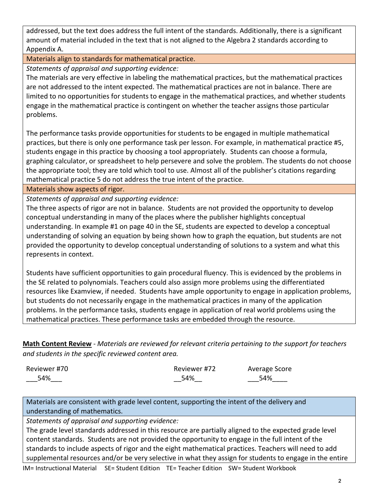addressed, but the text does address the full intent of the standards. Additionally, there is a significant amount of material included in the text that is not aligned to the Algebra 2 standards according to Appendix A.

Materials align to standards for mathematical practice.

*Statements of appraisal and supporting evidence:*

The materials are very effective in labeling the mathematical practices, but the mathematical practices are not addressed to the intent expected. The mathematical practices are not in balance. There are limited to no opportunities for students to engage in the mathematical practices, and whether students engage in the mathematical practice is contingent on whether the teacher assigns those particular problems.

The performance tasks provide opportunities for students to be engaged in multiple mathematical practices, but there is only one performance task per lesson. For example, in mathematical practice #5, students engage in this practice by choosing a tool appropriately. Students can choose a formula, graphing calculator, or spreadsheet to help persevere and solve the problem. The students do not choose the appropriate tool; they are told which tool to use. Almost all of the publisher's citations regarding mathematical practice 5 do not address the true intent of the practice.

Materials show aspects of rigor.

*Statements of appraisal and supporting evidence:*

The three aspects of rigor are not in balance. Students are not provided the opportunity to develop conceptual understanding in many of the places where the publisher highlights conceptual understanding. In example #1 on page 40 in the SE, students are expected to develop a conceptual understanding of solving an equation by being shown how to graph the equation, but students are not provided the opportunity to develop conceptual understanding of solutions to a system and what this represents in context.

Students have sufficient opportunities to gain procedural fluency. This is evidenced by the problems in the SE related to polynomials. Teachers could also assign more problems using the differentiated resources like Examview, if needed. Students have ample opportunity to engage in application problems, but students do not necessarily engage in the mathematical practices in many of the application problems. In the performance tasks, students engage in application of real world problems using the mathematical practices. These performance tasks are embedded through the resource.

**Math Content Review** - *Materials are reviewed for relevant criteria pertaining to the support for teachers and students in the specific reviewed content area.*

| Reviewer #70 | Reviewer #72 | Average Score |
|--------------|--------------|---------------|
| 54%          | 54%          | 54%           |

Materials are consistent with grade level content, supporting the intent of the delivery and understanding of mathematics.

*Statements of appraisal and supporting evidence:*

The grade level standards addressed in this resource are partially aligned to the expected grade level content standards. Students are not provided the opportunity to engage in the full intent of the standards to include aspects of rigor and the eight mathematical practices. Teachers will need to add supplemental resources and/or be very selective in what they assign for students to engage in the entire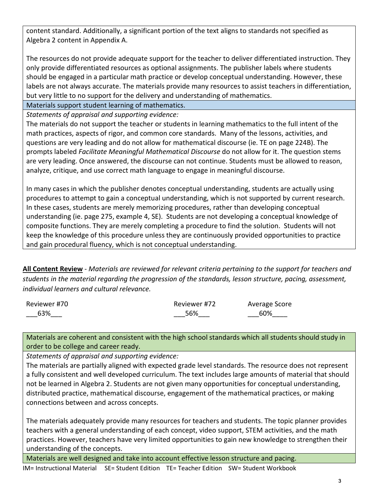content standard. Additionally, a significant portion of the text aligns to standards not specified as Algebra 2 content in Appendix A.

The resources do not provide adequate support for the teacher to deliver differentiated instruction. They only provide differentiated resources as optional assignments. The publisher labels where students should be engaged in a particular math practice or develop conceptual understanding. However, these labels are not always accurate. The materials provide many resources to assist teachers in differentiation, but very little to no support for the delivery and understanding of mathematics.

Materials support student learning of mathematics.

*Statements of appraisal and supporting evidence:*

The materials do not support the teacher or students in learning mathematics to the full intent of the math practices, aspects of rigor, and common core standards. Many of the lessons, activities, and questions are very leading and do not allow for mathematical discourse (ie. TE on page 224B). The prompts labeled *Facilitate Meaningful Mathematical Discourse* do not allow for it. The question stems are very leading. Once answered, the discourse can not continue. Students must be allowed to reason, analyze, critique, and use correct math language to engage in meaningful discourse.

In many cases in which the publisher denotes conceptual understanding, students are actually using procedures to attempt to gain a conceptual understanding, which is not supported by current research. In these cases, students are merely memorizing procedures, rather than developing conceptual understanding (ie. page 275, example 4, SE). Students are not developing a conceptual knowledge of composite functions. They are merely completing a procedure to find the solution. Students will not keep the knowledge of this procedure unless they are continuously provided opportunities to practice and gain procedural fluency, which is not conceptual understanding.

**All Content Review** - *Materials are reviewed for relevant criteria pertaining to the support for teachers and students in the material regarding the progression of the standards, lesson structure, pacing, assessment, individual learners and cultural relevance.*

| Reviewer #70 | Reviewer #72 | Average Score |
|--------------|--------------|---------------|
| 63%          | 56%          | 60%           |

Materials are coherent and consistent with the high school standards which all students should study in order to be college and career ready.

*Statements of appraisal and supporting evidence:* 

The materials are partially aligned with expected grade level standards. The resource does not represent a fully consistent and well developed curriculum. The text includes large amounts of material that should not be learned in Algebra 2. Students are not given many opportunities for conceptual understanding, distributed practice, mathematical discourse, engagement of the mathematical practices, or making connections between and across concepts.

The materials adequately provide many resources for teachers and students. The topic planner provides teachers with a general understanding of each concept, video support, STEM activities, and the math practices. However, teachers have very limited opportunities to gain new knowledge to strengthen their understanding of the concepts.

Materials are well designed and take into account effective lesson structure and pacing.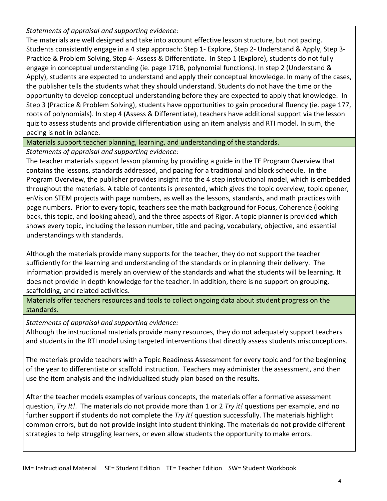*Statements of appraisal and supporting evidence:*

The materials are well designed and take into account effective lesson structure, but not pacing. Students consistently engage in a 4 step approach: Step 1- Explore, Step 2- Understand & Apply, Step 3- Practice & Problem Solving, Step 4- Assess & Differentiate. In Step 1 (Explore), students do not fully engage in conceptual understanding (ie. page 171B, polynomial functions). In step 2 (Understand & Apply), students are expected to understand and apply their conceptual knowledge. In many of the cases, the publisher tells the students what they should understand. Students do not have the time or the opportunity to develop conceptual understanding before they are expected to apply that knowledge. In Step 3 (Practice & Problem Solving), students have opportunities to gain procedural fluency (ie. page 177, roots of polynomials). In step 4 (Assess & Differentiate), teachers have additional support via the lesson quiz to assess students and provide differentiation using an item analysis and RTI model. In sum, the pacing is not in balance.

Materials support teacher planning, learning, and understanding of the standards.

*Statements of appraisal and supporting evidence:*

The teacher materials support lesson planning by providing a guide in the TE Program Overview that contains the lessons, standards addressed, and pacing for a traditional and block schedule. In the Program Overview, the publisher provides insight into the 4 step instructional model, which is embedded throughout the materials. A table of contents is presented, which gives the topic overview, topic opener, enVision STEM projects with page numbers, as well as the lessons, standards, and math practices with page numbers. Prior to every topic, teachers see the math background for Focus, Coherence (looking back, this topic, and looking ahead), and the three aspects of Rigor. A topic planner is provided which shows every topic, including the lesson number, title and pacing, vocabulary, objective, and essential understandings with standards.

Although the materials provide many supports for the teacher, they do not support the teacher sufficiently for the learning and understanding of the standards or in planning their delivery. The information provided is merely an overview of the standards and what the students will be learning. It does not provide in depth knowledge for the teacher. In addition, there is no support on grouping, scaffolding, and related activities.

Materials offer teachers resources and tools to collect ongoing data about student progress on the standards.

*Statements of appraisal and supporting evidence:*

Although the instructional materials provide many resources, they do not adequately support teachers and students in the RTI model using targeted interventions that directly assess students misconceptions.

The materials provide teachers with a Topic Readiness Assessment for every topic and for the beginning of the year to differentiate or scaffold instruction. Teachers may administer the assessment, and then use the item analysis and the individualized study plan based on the results.

After the teacher models examples of various concepts, the materials offer a formative assessment question, *Try It!*. The materials do not provide more than 1 or 2 *Try it!* questions per example, and no further support if students do not complete the *Try it!* question successfully. The materials highlight common errors, but do not provide insight into student thinking. The materials do not provide different strategies to help struggling learners, or even allow students the opportunity to make errors.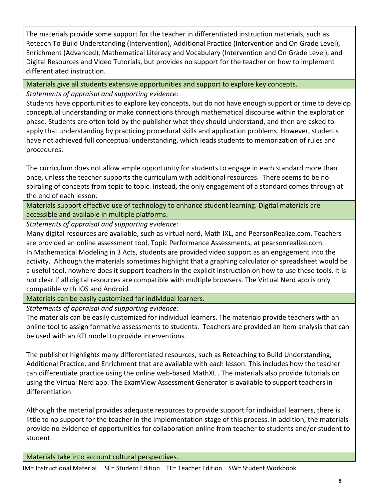The materials provide some support for the teacher in differentiated instruction materials, such as Reteach To Build Understanding (Intervention), Additional Practice (Intervention and On Grade Level), Enrichment (Advanced), Mathematical Literacy and Vocabulary (Intervention and On Grade Level), and Digital Resources and Video Tutorials, but provides no support for the teacher on how to implement differentiated instruction.

Materials give all students extensive opportunities and support to explore key concepts.

*Statements of appraisal and supporting evidence:*

Students have opportunities to explore key concepts, but do not have enough support or time to develop conceptual understanding or make connections through mathematical discourse within the exploration phase. Students are often told by the publisher what they should understand, and then are asked to apply that understanding by practicing procedural skills and application problems. However, students have not achieved full conceptual understanding, which leads students to memorization of rules and procedures.

The curriculum does not allow ample opportunity for students to engage in each standard more than once, unless the teacher supports the curriculum with additional resources. There seems to be no spiraling of concepts from topic to topic. Instead, the only engagement of a standard comes through at the end of each lesson.

Materials support effective use of technology to enhance student learning. Digital materials are accessible and available in multiple platforms.

*Statements of appraisal and supporting evidence:*

Many digital resources are available, such as virtual nerd, Math IXL, and PearsonRealize.com. Teachers are provided an online assessment tool, Topic Performance Assessments, at pearsonrealize.com. In Mathematical Modeling in 3 Acts, students are provided video support as an engagement into the activity. Although the materials sometimes highlight that a graphing calculator or spreadsheet would be a useful tool, nowhere does it support teachers in the explicit instruction on how to use these tools. It is not clear if all digital resources are compatible with multiple browsers. The Virtual Nerd app is only compatible with IOS and Android.

Materials can be easily customized for individual learners.

*Statements of appraisal and supporting evidence:*

The materials can be easily customized for individual learners. The materials provide teachers with an online tool to assign formative assessments to students. Teachers are provided an item analysis that can be used with an RTI model to provide interventions.

The publisher highlights many differentiated resources, such as Reteaching to Build Understanding, Additional Practice, and Enrichment that are available with each lesson. This includes how the teacher can differentiate practice using the online web-based MathXL . The materials also provide tutorials on using the Virtual Nerd app. The ExamView Assessment Generator is available to support teachers in differentiation.

Although the material provides adequate resources to provide support for individual learners, there is little to no support for the teacher in the implementation stage of this process. In addition, the materials provide no evidence of opportunities for collaboration online from teacher to students and/or student to student.

Materials take into account cultural perspectives.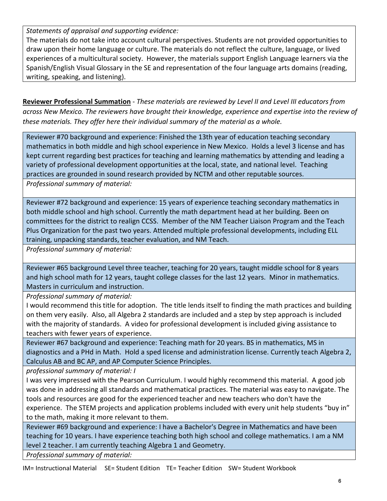*Statements of appraisal and supporting evidence:*

The materials do not take into account cultural perspectives. Students are not provided opportunities to draw upon their home language or culture. The materials do not reflect the culture, language, or lived experiences of a multicultural society. However, the materials support English Language learners via the Spanish/English Visual Glossary in the SE and representation of the four language arts domains (reading, writing, speaking, and listening).

**Reviewer Professional Summation** - *These materials are reviewed by Level II and Level III educators from across New Mexico. The reviewers have brought their knowledge, experience and expertise into the review of these materials. They offer here their individual summary of the material as a whole.* 

Reviewer #70 background and experience: Finished the 13th year of education teaching secondary mathematics in both middle and high school experience in New Mexico. Holds a level 3 license and has kept current regarding best practices for teaching and learning mathematics by attending and leading a variety of professional development opportunities at the local, state, and national level. Teaching practices are grounded in sound research provided by NCTM and other reputable sources.

*Professional summary of material:*

Reviewer #72 background and experience: 15 years of experience teaching secondary mathematics in both middle school and high school. Currently the math department head at her building. Been on committees for the district to realign CCSS. Member of the NM Teacher Liaison Program and the Teach Plus Organization for the past two years. Attended multiple professional developments, including ELL training, unpacking standards, teacher evaluation, and NM Teach.

*Professional summary of material:*

Reviewer #65 background Level three teacher, teaching for 20 years, taught middle school for 8 years and high school math for 12 years, taught college classes for the last 12 years. Minor in mathematics. Masters in curriculum and instruction.

*Professional summary of material:* 

I would recommend this title for adoption. The title lends itself to finding the math practices and building on them very easily. Also, all Algebra 2 standards are included and a step by step approach is included with the majority of standards. A video for professional development is included giving assistance to teachers with fewer years of experience.

Reviewer #67 background and experience: Teaching math for 20 years. BS in mathematics, MS in diagnostics and a PHd in Math. Hold a sped license and administration license. Currently teach Algebra 2, Calculus AB and BC AP, and AP Computer Science Principles.

*professional summary of material: I*

I was very impressed with the Pearson Curriculum. I would highly recommend this material. A good job was done in addressing all standards and mathematical practices. The material was easy to navigate. The tools and resources are good for the experienced teacher and new teachers who don't have the experience. The STEM projects and application problems included with every unit help students "buy in" to the math, making it more relevant to them.

Reviewer #69 background and experience: I have a Bachelor's Degree in Mathematics and have been teaching for 10 years. I have experience teaching both high school and college mathematics. I am a NM level 2 teacher. I am currently teaching Algebra 1 and Geometry.

*Professional summary of material:*